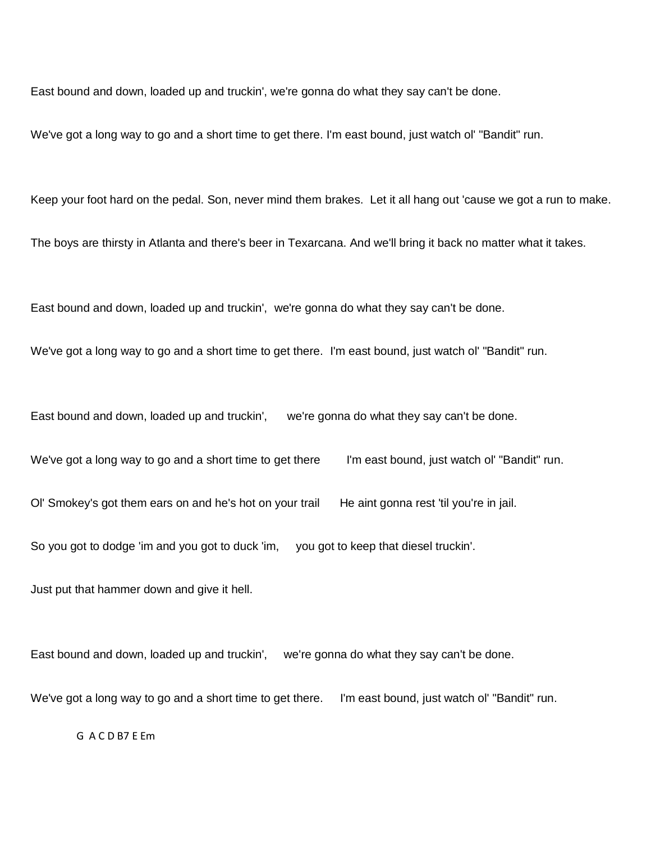East bound and down, loaded up and truckin', we're gonna do what they say can't be done.

We've got a long way to go and a short time to get there. I'm east bound, just watch ol' "Bandit" run.

Keep your foot hard on the pedal. Son, never mind them brakes. Let it all hang out 'cause we got a run to make.

The boys are thirsty in Atlanta and there's beer in Texarcana. And we'll bring it back no matter what it takes.

East bound and down, loaded up and truckin', we're gonna do what they say can't be done.

We've got a long way to go and a short time to get there. I'm east bound, just watch ol' "Bandit" run.

East bound and down, loaded up and truckin', we're gonna do what they say can't be done.

We've got a long way to go and a short time to get there I'm east bound, just watch ol' "Bandit" run.

Ol' Smokey's got them ears on and he's hot on your trail He aint gonna rest 'til you're in jail.

So you got to dodge 'im and you got to duck 'im, you got to keep that diesel truckin'.

Just put that hammer down and give it hell.

East bound and down, loaded up and truckin', we're gonna do what they say can't be done.

We've got a long way to go and a short time to get there. I'm east bound, just watch ol' "Bandit" run.

G A C D B7 E Em